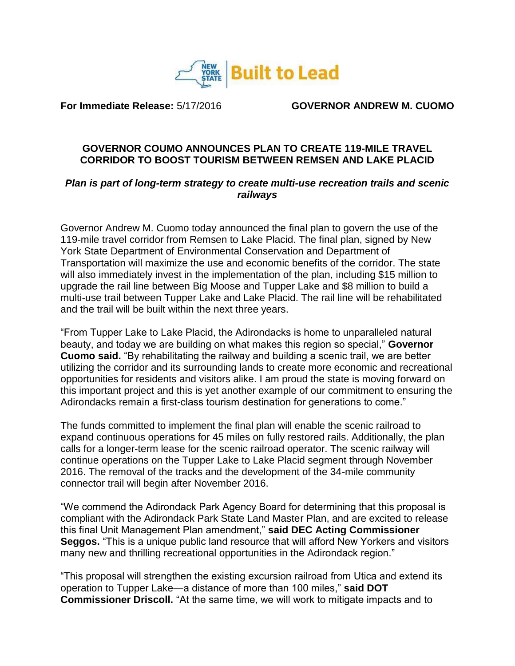

**For Immediate Release:** 5/17/2016 **GOVERNOR ANDREW M. CUOMO**

## **GOVERNOR COUMO ANNOUNCES PLAN TO CREATE 119-MILE TRAVEL CORRIDOR TO BOOST TOURISM BETWEEN REMSEN AND LAKE PLACID**

## *Plan is part of long-term strategy to create multi-use recreation trails and scenic railways*

Governor Andrew M. Cuomo today announced the final plan to govern the use of the 119-mile travel corridor from Remsen to Lake Placid. The final plan, signed by New York State Department of Environmental Conservation and Department of Transportation will maximize the use and economic benefits of the corridor. The state will also immediately invest in the implementation of the plan, including \$15 million to upgrade the rail line between Big Moose and Tupper Lake and \$8 million to build a multi-use trail between Tupper Lake and Lake Placid. The rail line will be rehabilitated and the trail will be built within the next three years.

"From Tupper Lake to Lake Placid, the Adirondacks is home to unparalleled natural beauty, and today we are building on what makes this region so special," **Governor Cuomo said.** "By rehabilitating the railway and building a scenic trail, we are better utilizing the corridor and its surrounding lands to create more economic and recreational opportunities for residents and visitors alike. I am proud the state is moving forward on this important project and this is yet another example of our commitment to ensuring the Adirondacks remain a first-class tourism destination for generations to come."

The funds committed to implement the final plan will enable the scenic railroad to expand continuous operations for 45 miles on fully restored rails. Additionally, the plan calls for a longer-term lease for the scenic railroad operator. The scenic railway will continue operations on the Tupper Lake to Lake Placid segment through November 2016. The removal of the tracks and the development of the 34-mile community connector trail will begin after November 2016.

"We commend the Adirondack Park Agency Board for determining that this proposal is compliant with the Adirondack Park State Land Master Plan, and are excited to release this final Unit Management Plan amendment," **said DEC Acting Commissioner Seggos.** "This is a unique public land resource that will afford New Yorkers and visitors many new and thrilling recreational opportunities in the Adirondack region."

"This proposal will strengthen the existing excursion railroad from Utica and extend its operation to Tupper Lake—a distance of more than 100 miles," **said DOT Commissioner Driscoll.** "At the same time, we will work to mitigate impacts and to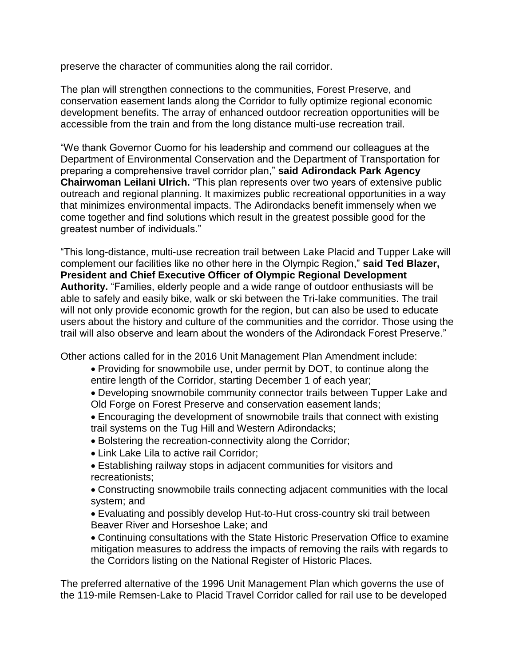preserve the character of communities along the rail corridor.

The plan will strengthen connections to the communities, Forest Preserve, and conservation easement lands along the Corridor to fully optimize regional economic development benefits. The array of enhanced outdoor recreation opportunities will be accessible from the train and from the long distance multi-use recreation trail.

"We thank Governor Cuomo for his leadership and commend our colleagues at the Department of Environmental Conservation and the Department of Transportation for preparing a comprehensive travel corridor plan," **said Adirondack Park Agency Chairwoman Leilani Ulrich.** "This plan represents over two years of extensive public outreach and regional planning. It maximizes public recreational opportunities in a way that minimizes environmental impacts. The Adirondacks benefit immensely when we come together and find solutions which result in the greatest possible good for the greatest number of individuals."

"This long-distance, multi-use recreation trail between Lake Placid and Tupper Lake will complement our facilities like no other here in the Olympic Region," **said Ted Blazer, President and Chief Executive Officer of Olympic Regional Development Authority.** "Families, elderly people and a wide range of outdoor enthusiasts will be able to safely and easily bike, walk or ski between the Tri-lake communities. The trail will not only provide economic growth for the region, but can also be used to educate users about the history and culture of the communities and the corridor. Those using the trail will also observe and learn about the wonders of the Adirondack Forest Preserve."

Other actions called for in the 2016 Unit Management Plan Amendment include:

- Providing for snowmobile use, under permit by DOT, to continue along the entire length of the Corridor, starting December 1 of each year;
- Developing snowmobile community connector trails between Tupper Lake and Old Forge on Forest Preserve and conservation easement lands;
- Encouraging the development of snowmobile trails that connect with existing trail systems on the Tug Hill and Western Adirondacks;
- Bolstering the recreation-connectivity along the Corridor;
- Link Lake Lila to active rail Corridor;
- Establishing railway stops in adjacent communities for visitors and recreationists;

Constructing snowmobile trails connecting adjacent communities with the local system; and

Evaluating and possibly develop Hut-to-Hut cross-country ski trail between Beaver River and Horseshoe Lake; and

Continuing consultations with the State Historic Preservation Office to examine mitigation measures to address the impacts of removing the rails with regards to the Corridors listing on the National Register of Historic Places.

The preferred alternative of the 1996 Unit Management Plan which governs the use of the 119-mile Remsen-Lake to Placid Travel Corridor called for rail use to be developed